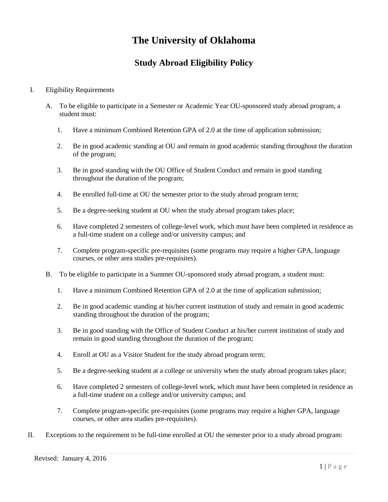# **The University of Oklahoma**

## **Study Abroad Eligibility Policy**

### I. Eligibility Requirements

- A. To be eligible to participate in a Semester or Academic Year OU-sponsored study abroad program, a student must:
	- 1. Have a minimum Combined Retention GPA of 2.0 at the time of application submission;
	- 2. Be in good academic standing at OU and remain in good academic standing throughout the duration of the program;
	- 3. Be in good standing with the OU Office of Student Conduct and remain in good standing throughout the duration of the program;
	- 4. Be enrolled full-time at OU the semester prior to the study abroad program term;
	- 5. Be a degree-seeking student at OU when the study abroad program takes place;
	- 6. Have completed 2 semesters of college-level work, which must have been completed in residence as a full-time student on a college and/or university campus; and
	- 7. Complete program-specific pre-requisites (some programs may require a higher GPA, language courses, or other area studies pre-requisites).
- B. To be eligible to participate in a Summer OU-sponsored study abroad program, a student must:
	- 1. Have a minimum Combined Retention GPA of 2.0 at the time of application submission;
	- 2. Be in good academic standing at his/her current institution of study and remain in good academic standing throughout the duration of the program;
	- 3. Be in good standing with the Office of Student Conduct at his/her current institution of study and remain in good standing throughout the duration of the program;
	- 4. Enroll at OU as a Visitor Student for the study abroad program term;
	- 5. Be a degree-seeking student at a college or university when the study abroad program takes place;
	- 6. Have completed 2 semesters of college-level work, which must have been completed in residence as a full-time student on a college and/or university campus; and
	- 7. Complete program-specific pre-requisites (some programs may require a higher GPA, language courses, or other area studies pre-requisites).
- II. Exceptions to the requirement to be full-time enrolled at OU the semester prior to a study abroad program: